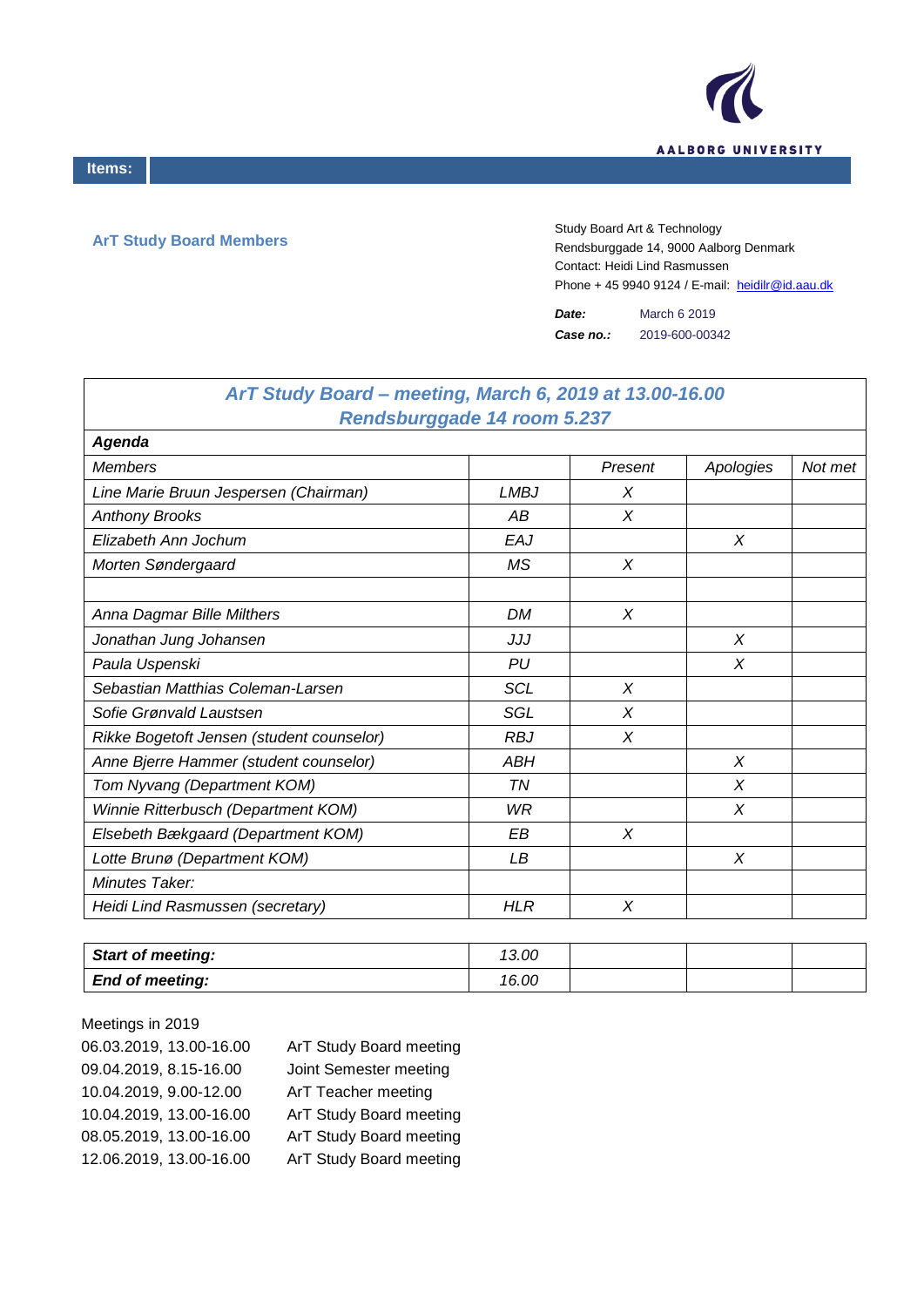

'n

## **ArT Study Board Members**

Study Board Art & Technology Rendsburggade 14, 9000 Aalborg Denmark Contact: Heidi Lind Rasmussen Phone + 45 9940 9124 / E-mail: heidilr@id.aau.dk

*Date:* March 6 2019 *Case no.:* 2019-600-00342

| ArT Study Board - meeting, March 6, 2019 at 13.00-16.00 |             |         |           |         |
|---------------------------------------------------------|-------------|---------|-----------|---------|
| <b>Rendsburggade 14 room 5.237</b>                      |             |         |           |         |
| <b>Agenda</b>                                           |             |         |           |         |
| <b>Members</b>                                          |             | Present | Apologies | Not met |
| Line Marie Bruun Jespersen (Chairman)                   | <b>LMBJ</b> | X       |           |         |
| <b>Anthony Brooks</b>                                   | АB          | X       |           |         |
| Elizabeth Ann Jochum                                    | EAJ         |         | X         |         |
| Morten Søndergaard                                      | MS          | X       |           |         |
|                                                         |             |         |           |         |
| Anna Dagmar Bille Milthers                              | <b>DM</b>   | X       |           |         |
| Jonathan Jung Johansen                                  | JJJ         |         | X         |         |
| Paula Uspenski                                          | PU          |         | X         |         |
| Sebastian Matthias Coleman-Larsen                       | <b>SCL</b>  | X       |           |         |
| Sofie Grønvald Laustsen                                 | SGL         | X       |           |         |
| Rikke Bogetoft Jensen (student counselor)               | <b>RBJ</b>  | X       |           |         |
| Anne Bjerre Hammer (student counselor)                  | ABH         |         | X         |         |
| Tom Nyvang (Department KOM)                             | <b>TN</b>   |         | X         |         |
| Winnie Ritterbusch (Department KOM)                     | WR          |         | X         |         |
| Elsebeth Bækgaard (Department KOM)                      | EΒ          | X       |           |         |
| Lotte Brunø (Department KOM)                            | LВ          |         | X         |         |
| Minutes Taker:                                          |             |         |           |         |
| Heidi Lind Rasmussen (secretary)                        | <b>HLR</b>  | X       |           |         |

| <b>Start of meeting:</b> | 13.00 |  |  |
|--------------------------|-------|--|--|
| <b>End of meeting:</b>   | 16.00 |  |  |

| Meetings in 2019        |                         |
|-------------------------|-------------------------|
| 06.03.2019, 13.00-16.00 | ArT Study Board meeting |
| 09.04.2019, 8.15-16.00  | Joint Semester meeting  |
| 10.04.2019, 9.00-12.00  | ArT Teacher meeting     |
| 10.04.2019, 13.00-16.00 | ArT Study Board meeting |
| 08.05.2019, 13.00-16.00 | ArT Study Board meeting |
| 12.06.2019, 13.00-16.00 | ArT Study Board meeting |
|                         |                         |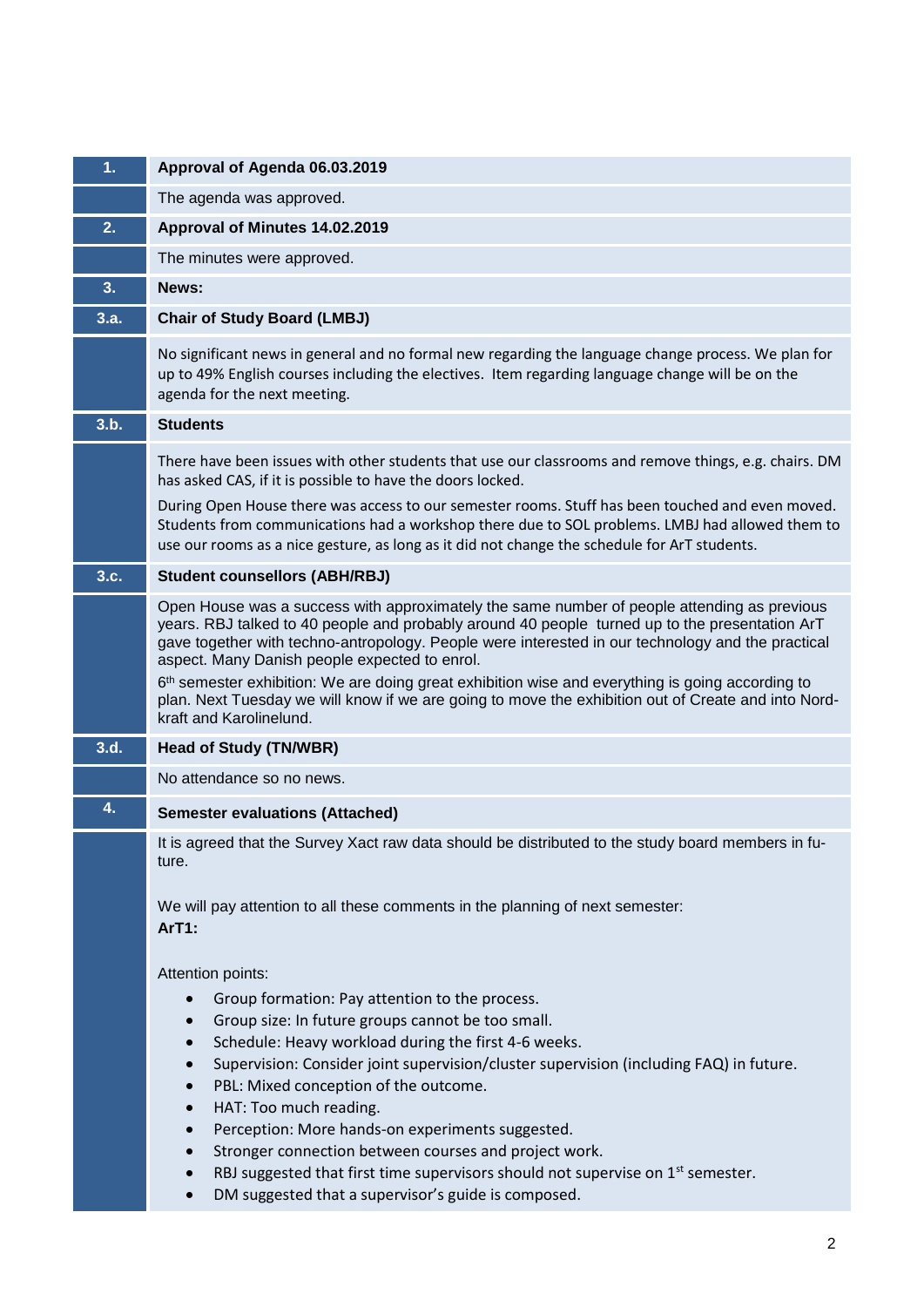| 1 <sub>1</sub> | Approval of Agenda 06.03.2019                                                                                                                                                                                                                                                                                                                                                                                                                                                                                                                                                                                                                                                                                            |
|----------------|--------------------------------------------------------------------------------------------------------------------------------------------------------------------------------------------------------------------------------------------------------------------------------------------------------------------------------------------------------------------------------------------------------------------------------------------------------------------------------------------------------------------------------------------------------------------------------------------------------------------------------------------------------------------------------------------------------------------------|
|                | The agenda was approved.                                                                                                                                                                                                                                                                                                                                                                                                                                                                                                                                                                                                                                                                                                 |
| 2.             | Approval of Minutes 14.02.2019                                                                                                                                                                                                                                                                                                                                                                                                                                                                                                                                                                                                                                                                                           |
|                | The minutes were approved.                                                                                                                                                                                                                                                                                                                                                                                                                                                                                                                                                                                                                                                                                               |
| 3.             | News:                                                                                                                                                                                                                                                                                                                                                                                                                                                                                                                                                                                                                                                                                                                    |
| 3.a.           | <b>Chair of Study Board (LMBJ)</b>                                                                                                                                                                                                                                                                                                                                                                                                                                                                                                                                                                                                                                                                                       |
|                | No significant news in general and no formal new regarding the language change process. We plan for<br>up to 49% English courses including the electives. Item regarding language change will be on the<br>agenda for the next meeting.                                                                                                                                                                                                                                                                                                                                                                                                                                                                                  |
| 3.b.           | <b>Students</b>                                                                                                                                                                                                                                                                                                                                                                                                                                                                                                                                                                                                                                                                                                          |
|                | There have been issues with other students that use our classrooms and remove things, e.g. chairs. DM<br>has asked CAS, if it is possible to have the doors locked.<br>During Open House there was access to our semester rooms. Stuff has been touched and even moved.<br>Students from communications had a workshop there due to SOL problems. LMBJ had allowed them to<br>use our rooms as a nice gesture, as long as it did not change the schedule for ArT students.                                                                                                                                                                                                                                               |
| 3.c.           | <b>Student counsellors (ABH/RBJ)</b>                                                                                                                                                                                                                                                                                                                                                                                                                                                                                                                                                                                                                                                                                     |
|                | Open House was a success with approximately the same number of people attending as previous<br>years. RBJ talked to 40 people and probably around 40 people turned up to the presentation ArT<br>gave together with techno-antropology. People were interested in our technology and the practical<br>aspect. Many Danish people expected to enrol.<br>6 <sup>th</sup> semester exhibition: We are doing great exhibition wise and everything is going according to<br>plan. Next Tuesday we will know if we are going to move the exhibition out of Create and into Nord-<br>kraft and Karolinelund.                                                                                                                    |
| 3.d.           | <b>Head of Study (TN/WBR)</b>                                                                                                                                                                                                                                                                                                                                                                                                                                                                                                                                                                                                                                                                                            |
|                | No attendance so no news.                                                                                                                                                                                                                                                                                                                                                                                                                                                                                                                                                                                                                                                                                                |
| 4.             | <b>Semester evaluations (Attached)</b>                                                                                                                                                                                                                                                                                                                                                                                                                                                                                                                                                                                                                                                                                   |
|                | It is agreed that the Survey Xact raw data should be distributed to the study board members in fu-<br>ture.<br>We will pay attention to all these comments in the planning of next semester:<br>ArT1:                                                                                                                                                                                                                                                                                                                                                                                                                                                                                                                    |
|                | Attention points:<br>Group formation: Pay attention to the process.<br>$\bullet$<br>Group size: In future groups cannot be too small.<br>Schedule: Heavy workload during the first 4-6 weeks.<br>$\bullet$<br>Supervision: Consider joint supervision/cluster supervision (including FAQ) in future.<br>$\bullet$<br>PBL: Mixed conception of the outcome.<br>HAT: Too much reading.<br>$\bullet$<br>Perception: More hands-on experiments suggested.<br>$\bullet$<br>Stronger connection between courses and project work.<br>$\bullet$<br>RBJ suggested that first time supervisors should not supervise on 1 <sup>st</sup> semester.<br>$\bullet$<br>DM suggested that a supervisor's guide is composed.<br>$\bullet$ |
|                |                                                                                                                                                                                                                                                                                                                                                                                                                                                                                                                                                                                                                                                                                                                          |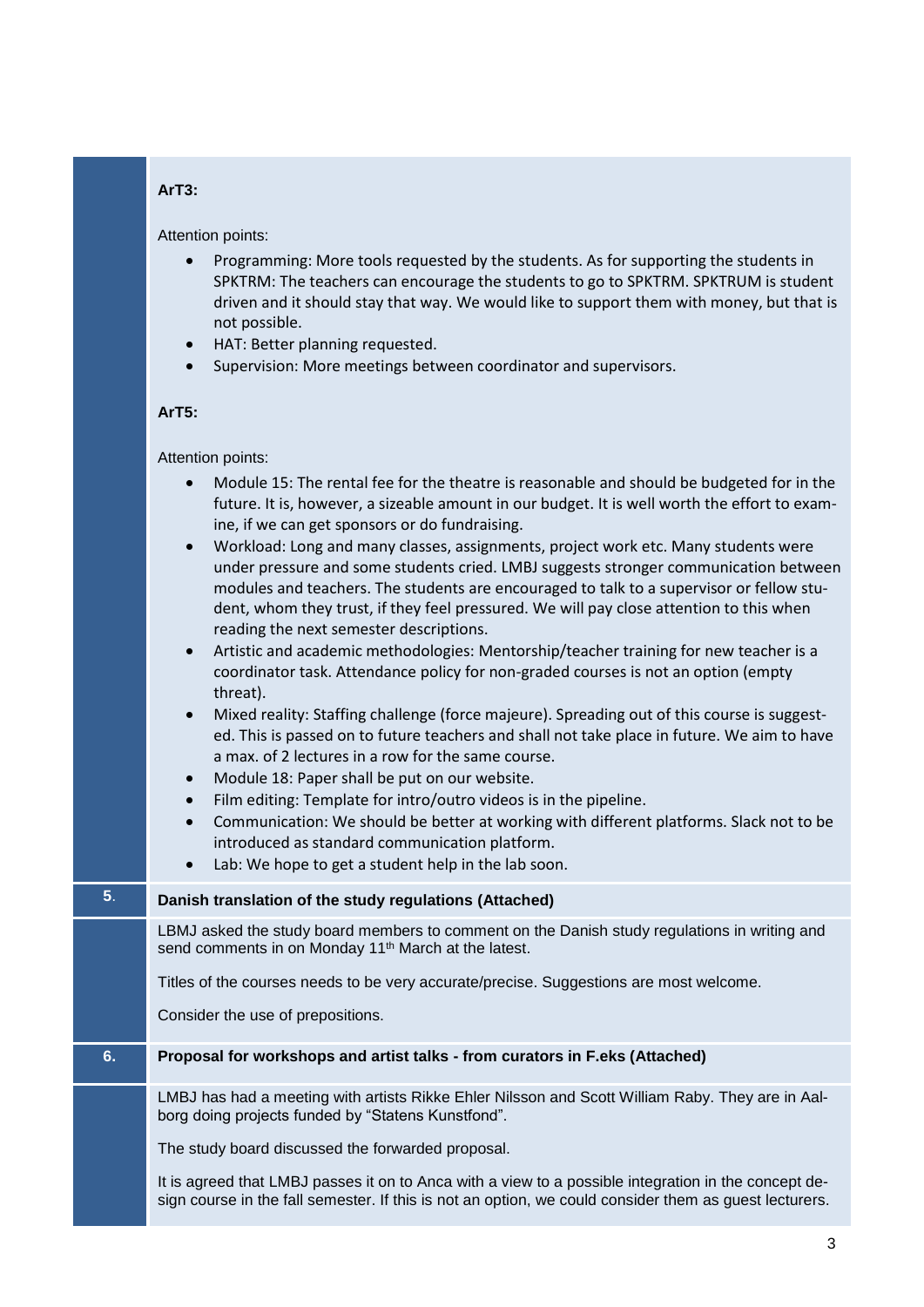## **ArT3:**

Attention points:

- Programming: More tools requested by the students. As for supporting the students in SPKTRM: The teachers can encourage the students to go to SPKTRM. SPKTRUM is student driven and it should stay that way. We would like to support them with money, but that is not possible.
- HAT: Better planning requested.
- Supervision: More meetings between coordinator and supervisors.

## **ArT5:**

## Attention points:

|    | Module 15: The rental fee for the theatre is reasonable and should be budgeted for in the<br>$\bullet$<br>future. It is, however, a sizeable amount in our budget. It is well worth the effort to exam-<br>ine, if we can get sponsors or do fundraising.<br>Workload: Long and many classes, assignments, project work etc. Many students were<br>$\bullet$<br>under pressure and some students cried. LMBJ suggests stronger communication between<br>modules and teachers. The students are encouraged to talk to a supervisor or fellow stu-<br>dent, whom they trust, if they feel pressured. We will pay close attention to this when<br>reading the next semester descriptions.<br>Artistic and academic methodologies: Mentorship/teacher training for new teacher is a<br>$\bullet$<br>coordinator task. Attendance policy for non-graded courses is not an option (empty<br>threat).<br>Mixed reality: Staffing challenge (force majeure). Spreading out of this course is suggest-<br>$\bullet$<br>ed. This is passed on to future teachers and shall not take place in future. We aim to have<br>a max. of 2 lectures in a row for the same course.<br>Module 18: Paper shall be put on our website.<br>$\bullet$<br>Film editing: Template for intro/outro videos is in the pipeline.<br>$\bullet$<br>Communication: We should be better at working with different platforms. Slack not to be<br>$\bullet$<br>introduced as standard communication platform.<br>Lab: We hope to get a student help in the lab soon. |
|----|----------------------------------------------------------------------------------------------------------------------------------------------------------------------------------------------------------------------------------------------------------------------------------------------------------------------------------------------------------------------------------------------------------------------------------------------------------------------------------------------------------------------------------------------------------------------------------------------------------------------------------------------------------------------------------------------------------------------------------------------------------------------------------------------------------------------------------------------------------------------------------------------------------------------------------------------------------------------------------------------------------------------------------------------------------------------------------------------------------------------------------------------------------------------------------------------------------------------------------------------------------------------------------------------------------------------------------------------------------------------------------------------------------------------------------------------------------------------------------------------------------------------------------|
| 5. | Danish translation of the study regulations (Attached)                                                                                                                                                                                                                                                                                                                                                                                                                                                                                                                                                                                                                                                                                                                                                                                                                                                                                                                                                                                                                                                                                                                                                                                                                                                                                                                                                                                                                                                                           |
|    | LBMJ asked the study board members to comment on the Danish study regulations in writing and<br>send comments in on Monday 11 <sup>th</sup> March at the latest.                                                                                                                                                                                                                                                                                                                                                                                                                                                                                                                                                                                                                                                                                                                                                                                                                                                                                                                                                                                                                                                                                                                                                                                                                                                                                                                                                                 |
|    | Titles of the courses needs to be very accurate/precise. Suggestions are most welcome.                                                                                                                                                                                                                                                                                                                                                                                                                                                                                                                                                                                                                                                                                                                                                                                                                                                                                                                                                                                                                                                                                                                                                                                                                                                                                                                                                                                                                                           |
|    | Consider the use of prepositions.                                                                                                                                                                                                                                                                                                                                                                                                                                                                                                                                                                                                                                                                                                                                                                                                                                                                                                                                                                                                                                                                                                                                                                                                                                                                                                                                                                                                                                                                                                |
| 6. | Proposal for workshops and artist talks - from curators in F.eks (Attached)                                                                                                                                                                                                                                                                                                                                                                                                                                                                                                                                                                                                                                                                                                                                                                                                                                                                                                                                                                                                                                                                                                                                                                                                                                                                                                                                                                                                                                                      |
|    | LMBJ has had a meeting with artists Rikke Ehler Nilsson and Scott William Raby. They are in Aal-<br>borg doing projects funded by "Statens Kunstfond".                                                                                                                                                                                                                                                                                                                                                                                                                                                                                                                                                                                                                                                                                                                                                                                                                                                                                                                                                                                                                                                                                                                                                                                                                                                                                                                                                                           |
|    | The study board discussed the forwarded proposal.                                                                                                                                                                                                                                                                                                                                                                                                                                                                                                                                                                                                                                                                                                                                                                                                                                                                                                                                                                                                                                                                                                                                                                                                                                                                                                                                                                                                                                                                                |
|    | It is agreed that LMBJ passes it on to Anca with a view to a possible integration in the concept de-<br>sign course in the fall semester. If this is not an option, we could consider them as guest lecturers.                                                                                                                                                                                                                                                                                                                                                                                                                                                                                                                                                                                                                                                                                                                                                                                                                                                                                                                                                                                                                                                                                                                                                                                                                                                                                                                   |
|    |                                                                                                                                                                                                                                                                                                                                                                                                                                                                                                                                                                                                                                                                                                                                                                                                                                                                                                                                                                                                                                                                                                                                                                                                                                                                                                                                                                                                                                                                                                                                  |